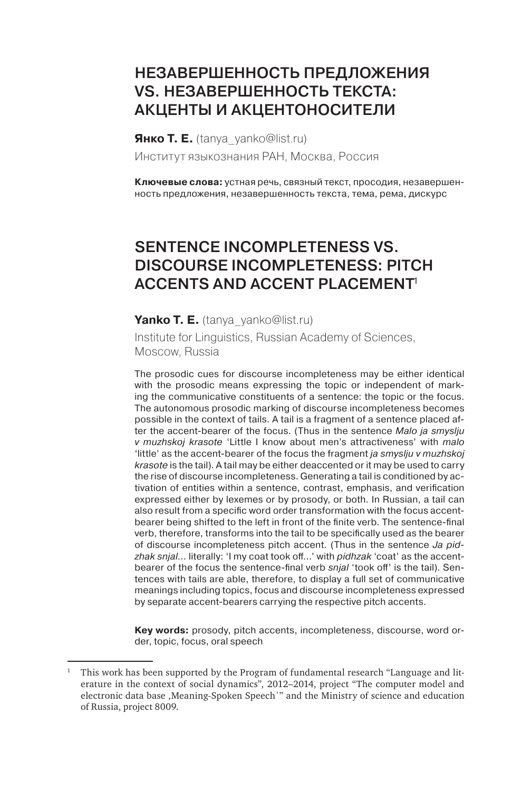# НЕЗАВЕРШЕННОСТЬ ПРЕДЛОЖЕНИЯ vs. НезавершеННость текста: АКЦЕНТЫ И АКЦЕНТОНОСИТЕЛИ

**Янко Т. Е.** (tanya\_yanko@list.ru) Институт языкознания РАН, Москва, Россия

**Ключевые слова:** устная речь, связный текст, просодия, незавершенность предложения, незавершенность текста, тема, рема, дискурс

# Sentence incompleteness vs. Discourse incompleteness: pitch ACCENTS AND ACCENT PLACEMENT<sup>1</sup>

#### **Yanko T. E.** (tanya\_yanko@list.ru)

Institute for Linguistics, Russian Academy of Sciences, Moscow, Russia

The prosodic cues for discourse incompleteness may be either identical with the prosodic means expressing the topic or independent of marking the communicative constituents of a sentence: the topic or the focus. The autonomous prosodic marking of discourse incompleteness becomes possible in the context of tails. A tail is a fragment of a sentence placed after the accent-bearer of the focus. (Thus in the sentence *Malo ja smyslju v muzhskoj krasote* 'Little I know about men's attractiveness' with *malo* 'little' as the accent-bearer of the focus the fragment *ja smyslju v muzhskoj krasote* is the tail). A tail may be either deaccented or it may be used to carry the rise of discourse incompleteness. Generating a tail is conditioned by activation of entities within a sentence, contrast, emphasis, and verification expressed either by lexemes or by prosody, or both. In Russian, a tail can also result from a specific word order transformation with the focus accentbearer being shifted to the left in front of the finite verb. The sentence-final verb, therefore, transforms into the tail to be specifically used as the bearer of discourse incompleteness pitch accent. (Thus in the sentence *Ja pidzhak snjal*… literally: 'I my coat took off…' with *pidhzak* 'coat' as the accentbearer of the focus the sentence-final verb *snjal* 'took off' is the tail). Sentences with tails are able, therefore, to display a full set of communicative meanings including topics, focus and discourse incompleteness expressed by separate accent-bearers carrying the respective pitch accents.

**Key words:** prosody, pitch accents, incompleteness, discourse, word order, topic, focus, oral speech

<sup>1</sup> This work has been supported by the Program of fundamental research "Language and literature in the context of social dynamics", 2012–2014, project "The computer model and electronic data base ,Meaning-Spoken Speechʻ" and the Ministry of science and education of Russia, project 8009.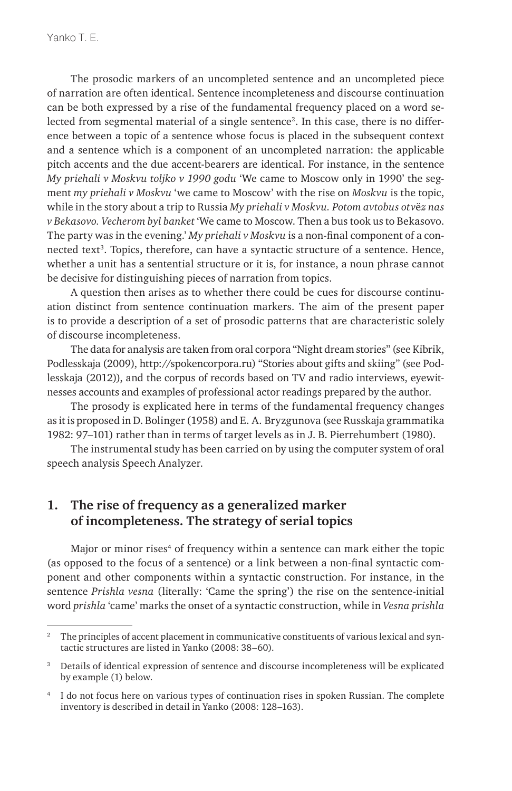The prosodic markers of an uncompleted sentence and an uncompleted piece of narration are often identical. Sentence incompleteness and discourse continuation can be both expressed by a rise of the fundamental frequency placed on a word selected from segmental material of a single sentence2. In this case, there is no difference between a topic of a sentence whose focus is placed in the subsequent context and a sentence which is a component of an uncompleted narration: the applicable pitch accents and the due accent-bearers are identical. For instance, in the sentence *My priehali v Moskvu toljko v 1990 godu* 'We came to Moscow only in 1990' the segment *my priehali v Moskvu* 'we came to Moscow' with the rise on *Moskvu* is the topic, while in the story about a trip to Russia *My priehali v Moskvu. Potom avtobus otv*ё*z nas v Bekasovo. Vecherom byl banket* 'We came to Moscow. Then a bus took us to Bekasovo. The party was in the evening.' *My priehali v Moskvu* is a non-final component of a connected text3 . Topics, therefore, can have a syntactic structure of a sentence. Hence, whether a unit has a sentential structure or it is, for instance, a noun phrase cannot be decisive for distinguishing pieces of narration from topics.

A question then arises as to whether there could be cues for discourse continuation distinct from sentence continuation markers. The aim of the present paper is to provide a description of a set of prosodic patterns that are characteristic solely of discourse incompleteness.

The data for analysis are taken from oral corpora "Night dream stories" (see Kibrik, Podlesskaja (2009), http://spokencorpora.ru) "Stories about gifts and skiing" (see Podlesskaja (2012)), and the corpus of records based on TV and radio interviews, eyewitnesses accounts and examples of professional actor readings prepared by the author.

The prosody is explicated here in terms of the fundamental frequency changes as it is proposed in D. Bolinger (1958) and E. A. Bryzgunova (see Russkaja grammatika 1982: 97–101) rather than in terms of target levels as in J. B. Pierrehumbert (1980).

The instrumental study has been carried on by using the computer system of oral speech analysis Speech Analyzer.

## **1. The rise of frequency as a generalized marker of incompleteness. The strategy of serial topics**

Major or minor rises<sup>4</sup> of frequency within a sentence can mark either the topic (as opposed to the focus of a sentence) or a link between a non-final syntactic component and other components within a syntactic construction. For instance, in the sentence *Prishla vesna* (literally: 'Came the spring') the rise on the sentence-initial word *prishla* 'came' marks the onset of a syntactic construction, while in *Vesna prishla* 

<sup>2</sup> The principles of accent placement in communicative constituents of various lexical and syntactic structures are listed in Yanko (2008: 38–60).

<sup>&</sup>lt;sup>3</sup> Details of identical expression of sentence and discourse incompleteness will be explicated by example (1) below.

<sup>4</sup> I do not focus here on various types of continuation rises in spoken Russian. The complete inventory is described in detail in Yanko (2008: 128–163).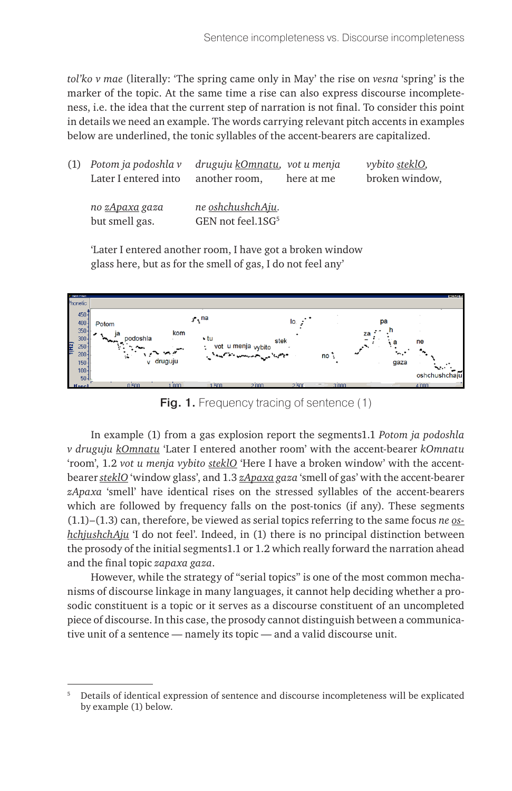*tol'ko v mae* (literally: 'The spring came only in May' the rise on *vesna* 'spring' is the marker of the topic. At the same time a rise can also express discourse incompleteness, i.e. the idea that the current step of narration is not final. To consider this point in details we need an example. The words carrying relevant pitch accents in examples below are underlined, the tonic syllables of the accent-bearers are capitalized.

| $(1)$ Potom ja podoshla v<br>Later I entered into | druguju kOmnatu, vot u menja<br>another room,              | here at me | <i>vybito steklO,</i><br>broken window, |
|---------------------------------------------------|------------------------------------------------------------|------------|-----------------------------------------|
| no zApaxa gaza<br>but smell gas.                  | ne <u>oshchushchAju</u> .<br>GEN not feel.1SG <sup>5</sup> |            |                                         |

'Later I entered another room, I have got a broken window glass here, but as for the smell of gas, I do not feel any'



**Fig. 1.** Frequency tracing of sentence (1)

In example (1) from a gas explosion report the segments1.1 *Potom ja podoshla v druguju kOmnatu* 'Later I entered another room' with the accent-bearer *kOmnatu* 'room', 1.2 *vot u menja vybito steklO* 'Here I have a broken window' with the accentbearer *steklO* 'window glass', and 1.3 *zApaxa gaza* 'smell of gas' with the accent-bearer *zApaxa* 'smell' have identical rises on the stressed syllables of the accent-bearers which are followed by frequency falls on the post-tonics (if any). These segments (1.1)–(1.3) can, therefore, be viewed as serial topics referring to the same focus *ne oshchjushchAju* 'I do not feel'. Indeed, in (1) there is no principal distinction between the prosody of the initial segments1.1 or 1.2 which really forward the narration ahead and the final topic *zapaxa gaza*.

However, while the strategy of "serial topics" is one of the most common mechanisms of discourse linkage in many languages, it cannot help deciding whether a prosodic constituent is a topic or it serves as a discourse constituent of an uncompleted piece of discourse. In this case, the prosody cannot distinguish between a communicative unit of a sentence — namely its topic — and a valid discourse unit.

<sup>5</sup> Details of identical expression of sentence and discourse incompleteness will be explicated by example (1) below.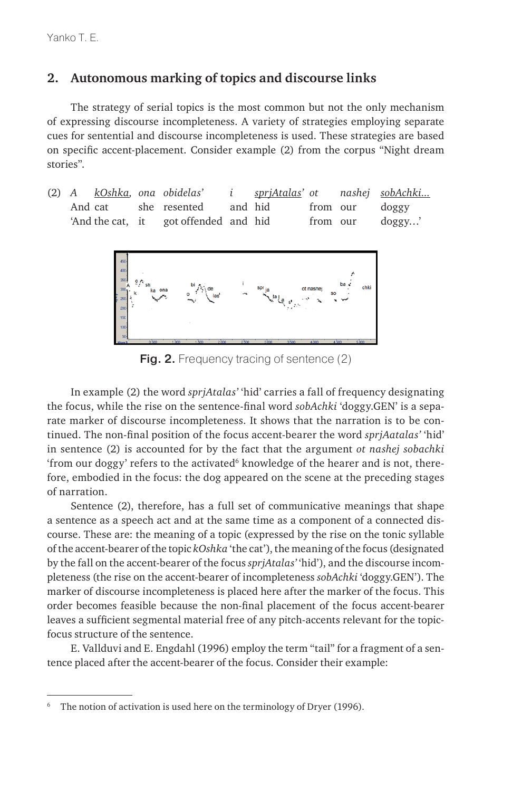### **2. Autonomous marking of topics and discourse links**

The strategy of serial topics is the most common but not the only mechanism of expressing discourse incompleteness. A variety of strategies employing separate cues for sentential and discourse incompleteness is used. These strategies are based on specific accent-placement. Consider example (2) from the corpus "Night dream stories".

(2) *A kOshka, ona obidelas' i sprjAtalas' ot nashej sobAchki...* And cat she resented and hid from our doggy 'And the cat, it got offended and hid from our doggy...'



**Fig. 2.** Frequency tracing of sentence (2)

In example (2) the word *sprjAtalas'* 'hid' carries a fall of frequency designating the focus, while the rise on the sentence-final word *sobAchki* 'doggy.GEN' is a separate marker of discourse incompleteness. It shows that the narration is to be continued. The non-final position of the focus accent-bearer the word *sprjAatalas'* 'hid' in sentence (2) is accounted for by the fact that the argument *ot nashej sobachki* 'from our doggy' refers to the activated $^6$  knowledge of the hearer and is not, therefore, embodied in the focus: the dog appeared on the scene at the preceding stages of narration.

Sentence (2), therefore, has a full set of communicative meanings that shape a sentence as a speech act and at the same time as a component of a connected discourse. These are: the meaning of a topic (expressed by the rise on the tonic syllable of the accent-bearer of the topic *kOshka* 'the cat'), the meaning of the focus (designated by the fall on the accent-bearer of the focus *sprjAtalas'* 'hid'), and the discourse incompleteness (the rise on the accent-bearer of incompleteness *sobAchki* 'doggy.GEN'). The marker of discourse incompleteness is placed here after the marker of the focus. This order becomes feasible because the non-final placement of the focus accent-bearer leaves a sufficient segmental material free of any pitch-accents relevant for the topicfocus structure of the sentence.

E. Vallduvi and E. Engdahl (1996) employ the term "tail" for a fragment of a sentence placed after the accent-bearer of the focus. Consider their example:

The notion of activation is used here on the terminology of Dryer (1996).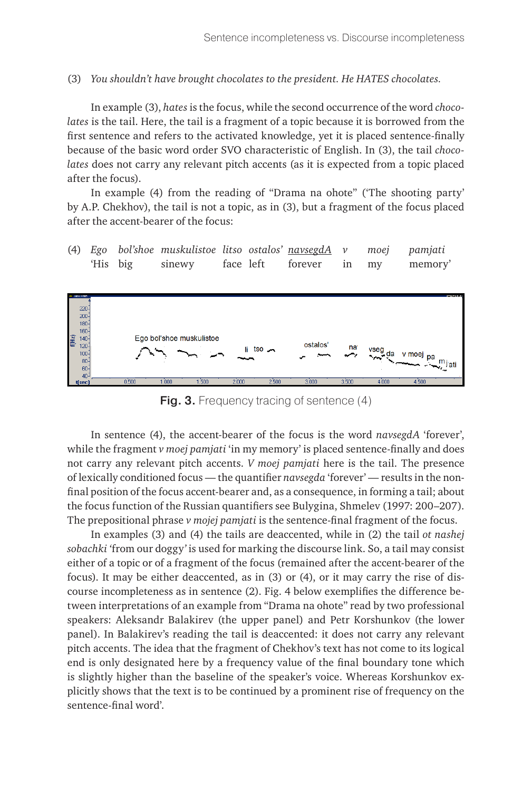(3) *You shouldn't have brought chocolates to the president. He HATES chocolates.*

In example (3), *hates* is the focus, while the second occurrence of the word *chocolates* is the tail. Here, the tail is a fragment of a topic because it is borrowed from the first sentence and refers to the activated knowledge, yet it is placed sentence-finally because of the basic word order SVO characteristic of English. In (3), the tail *chocolates* does not carry any relevant pitch accents (as it is expected from a topic placed after the focus).

In example (4) from the reading of "Drama na ohote" ('The shooting party' by A.P. Chekhov), the tail is not a topic, as in (3), but a fragment of the focus placed after the accent-bearer of the focus:

(4) *Ego bol'shoe muskulistoe litso ostalos' navsegdA v moej pamjati* 'His big sinewy face left forever in my memory'



Fig. 3. Frequency tracing of sentence (4)

In sentence (4), the accent-bearer of the focus is the word *navsegdA* 'forever', while the fragment *v moej pamjati* 'in my memory' is placed sentence-finally and does not carry any relevant pitch accents. *V moej pamjati* here is the tail. The presence of lexically conditioned focus — the quantifier *navsegda* 'forever' — results in the nonfinal position of the focus accent-bearer and, as a consequence, in forming a tail; about the focus function of the Russian quantifiers see Bulygina, Shmelev (1997: 200–207). The prepositional phrase *v mojej pamjati* is the sentence-final fragment of the focus.

In examples (3) and (4) the tails are deaccented, while in (2) the tail *ot nashej sobachki '*from our doggy*'* is used for marking the discourse link. So, a tail may consist either of a topic or of a fragment of the focus (remained after the accent-bearer of the focus). It may be either deaccented, as in (3) or (4), or it may carry the rise of discourse incompleteness as in sentence (2). Fig. 4 below exemplifies the difference between interpretations of an example from "Drama na ohote" read by two professional speakers: Aleksandr Balakirev (the upper panel) and Petr Korshunkov (the lower panel). In Balakirev's reading the tail is deaccented: it does not carry any relevant pitch accents. The idea that the fragment of Chekhov's text has not come to its logical end is only designated here by a frequency value of the final boundary tone which is slightly higher than the baseline of the speaker's voice. Whereas Korshunkov explicitly shows that the text is to be continued by a prominent rise of frequency on the sentence-final word'.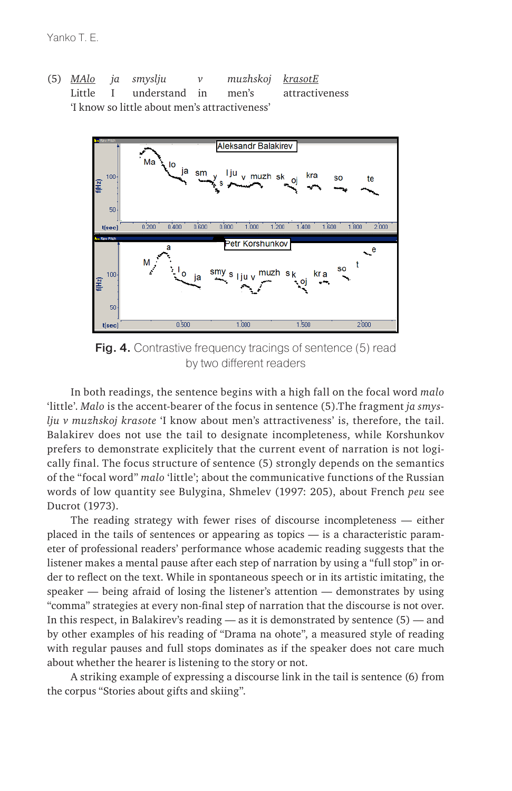(5) *MAlo ja smyslju v muzhskoj krasotE* Little I understand in men's attractiveness 'I know so little about men's attractiveness'



Fig. 4. Contrastive frequency tracings of sentence (5) read by two different readers

In both readings, the sentence begins with a high fall on the focal word *malo* 'little'. *Malo* is the accent-bearer of the focus in sentence (5).The fragment *ja smyslju v muzhskoj krasote* 'I know about men's attractiveness' is, therefore, the tail. Balakirev does not use the tail to designate incompleteness, while Korshunkov prefers to demonstrate explicitely that the current event of narration is not logically final. The focus structure of sentence (5) strongly depends on the semantics of the "focal word" *malo* 'little'; about the communicative functions of the Russian words of low quantity see Bulygina, Shmelev (1997: 205), about French *peu* see Ducrot (1973).

The reading strategy with fewer rises of discourse incompleteness — either placed in the tails of sentences or appearing as topics — is a characteristic parameter of professional readers' performance whose academic reading suggests that the listener makes a mental pause after each step of narration by using a "full stop" in order to reflect on the text. While in spontaneous speech or in its artistic imitating, the speaker — being afraid of losing the listener's attention — demonstrates by using "comma" strategies at every non-final step of narration that the discourse is not over. In this respect, in Balakirev's reading — as it is demonstrated by sentence (5) — and by other examples of his reading of "Drama na ohote", a measured style of reading with regular pauses and full stops dominates as if the speaker does not care much about whether the hearer is listening to the story or not.

A striking example of expressing a discourse link in the tail is sentence (6) from the corpus "Stories about gifts and skiing".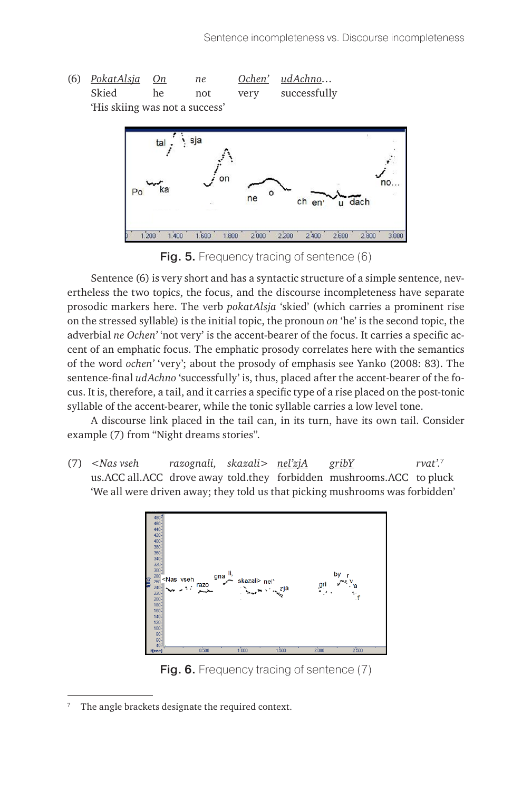



**Fig. 5.** Frequency tracing of sentence (6)

Sentence (6) is very short and has a syntactic structure of a simple sentence, nevertheless the two topics, the focus, and the discourse incompleteness have separate prosodic markers here. The verb *pokatAlsja* 'skied' (which carries a prominent rise on the stressed syllable) is the initial topic, the pronoun *on* 'he' is the second topic, the adverbial *ne Ochen'* 'not very' is the accent-bearer of the focus. It carries a specific accent of an emphatic focus. The emphatic prosody correlates here with the semantics of the word *ochen'* 'very'; about the prosody of emphasis see Yanko (2008: 83). The sentence-final *udAchno* 'successfully' is, thus, placed after the accent-bearer of the focus. It is, therefore, a tail, and it carries a specific type of a rise placed on the post-tonic syllable of the accent-bearer, while the tonic syllable carries a low level tone.

A discourse link placed in the tail can, in its turn, have its own tail. Consider example (7) from "Night dreams stories".

(7) *<Nas vseh razognali, skazali> nel'zjA gribY rvat'.*<sup>7</sup> us.ACC all.ACC drove away told.they forbidden mushrooms.ACC to pluck 'We all were driven away; they told us that picking mushrooms was forbidden'



**Fig. 6.** Frequency tracing of sentence (7)

<sup>7</sup> The angle brackets designate the required context.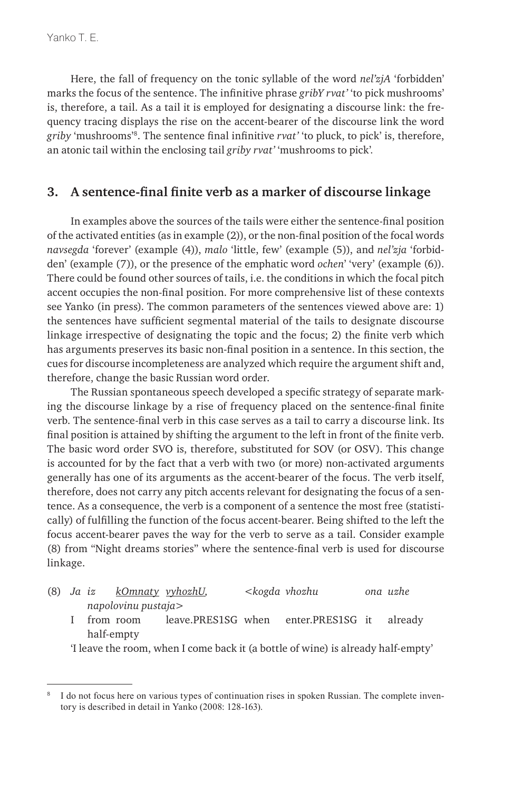Here, the fall of frequency on the tonic syllable of the word *nel'zjA* 'forbidden' marks the focus of the sentence. The infinitive phrase *gribY rvat'* 'to pick mushrooms' is, therefore, a tail. As a tail it is employed for designating a discourse link: the frequency tracing displays the rise on the accent-bearer of the discourse link the word *griby* 'mushrooms'8. The sentence final infinitive *rvat'* 'to pluck, to pick' is, therefore, an atonic tail within the enclosing tail *griby rvat'* 'mushrooms to pick'*.*

### **3. A sentence-final finite verb as a marker of discourse linkage**

In examples above the sources of the tails were either the sentence-final position of the activated entities (as in example (2)), or the non-final position of the focal words *navsegda* 'forever' (example (4)), *malo* 'little, few' (example (5)), and *nel'zja* 'forbidden' (example (7)), or the presence of the emphatic word *ochen*' 'very' (example (6)). There could be found other sources of tails, i.e. the conditions in which the focal pitch accent occupies the non-final position. For more comprehensive list of these contexts see Yanko (in press). The common parameters of the sentences viewed above are: 1) the sentences have sufficient segmental material of the tails to designate discourse linkage irrespective of designating the topic and the focus; 2) the finite verb which has arguments preserves its basic non-final position in a sentence. In this section, the cues for discourse incompleteness are analyzed which require the argument shift and, therefore, change the basic Russian word order.

The Russian spontaneous speech developed a specific strategy of separate marking the discourse linkage by a rise of frequency placed on the sentence-final finite verb. The sentence-final verb in this case serves as a tail to carry a discourse link. Its final position is attained by shifting the argument to the left in front of the finite verb. The basic word order SVO is, therefore, substituted for SOV (or OSV). This change is accounted for by the fact that a verb with two (or more) non-activated arguments generally has one of its arguments as the accent-bearer of the focus. The verb itself, therefore, does not carry any pitch accents relevant for designating the focus of a sentence. As a consequence, the verb is a component of a sentence the most free (statistically) of fulfilling the function of the focus accent-bearer. Being shifted to the left the focus accent-bearer paves the way for the verb to serve as a tail. Consider example (8) from "Night dreams stories" where the sentence-final verb is used for discourse linkage.

- (8) *Ja iz kOmnaty vyhozhU, <kogda vhozhu ona uzhe napolovinu pustaja>*
	- I from room leave.PRES1SG when enter.PRES1SG it already half-empty

'I leave the room, when I come back it (a bottle of wine) is already half-empty'

I do not focus here on various types of continuation rises in spoken Russian. The complete inventory is described in detail in Yanko (2008: 128-163).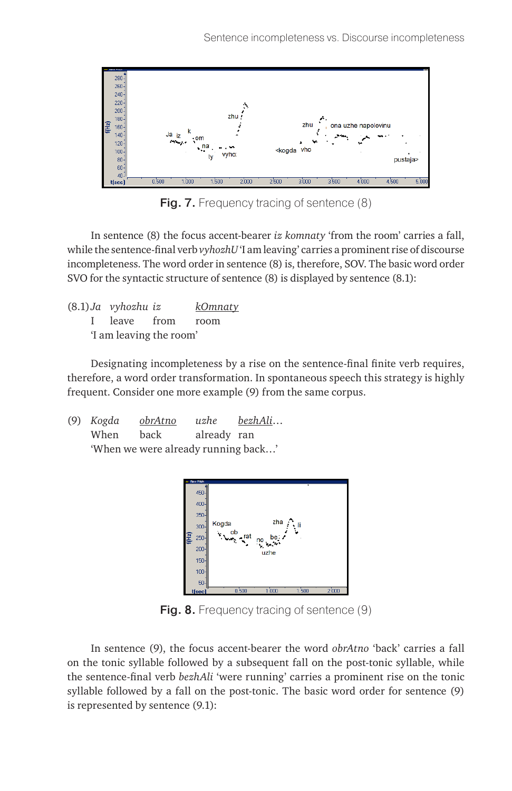

Fig. 7. Frequency tracing of sentence (8)

In sentence (8) the focus accent-bearer *iz komnaty* 'from the room' carries a fall, while the sentence-final verb *vyhozhU* 'I am leaving' carries a prominent rise of discourse incompleteness. The word order in sentence (8) is, therefore, SOV. The basic word order SVO for the syntactic structure of sentence (8) is displayed by sentence (8.1):

|                         | $(8.1)$ Ja vyhozhu iz |  | kOmnaty |  |  |
|-------------------------|-----------------------|--|---------|--|--|
|                         | I leave from room     |  |         |  |  |
| 'I am leaving the room' |                       |  |         |  |  |

Designating incompleteness by a rise on the sentence-final finite verb requires, therefore, a word order transformation. In spontaneous speech this strategy is highly frequent. Consider one more example (9) from the same corpus.

(9) *Kogda obrAtno uzhe bezhAli*… When back already ran 'When we were already running back…'



**Fig. 8.** Frequency tracing of sentence (9)

In sentence (9), the focus accent-bearer the word *obrAtno* 'back' carries a fall on the tonic syllable followed by a subsequent fall on the post-tonic syllable, while the sentence-final verb *bezhAli* 'were running' carries a prominent rise on the tonic syllable followed by a fall on the post-tonic. The basic word order for sentence (9) is represented by sentence (9.1):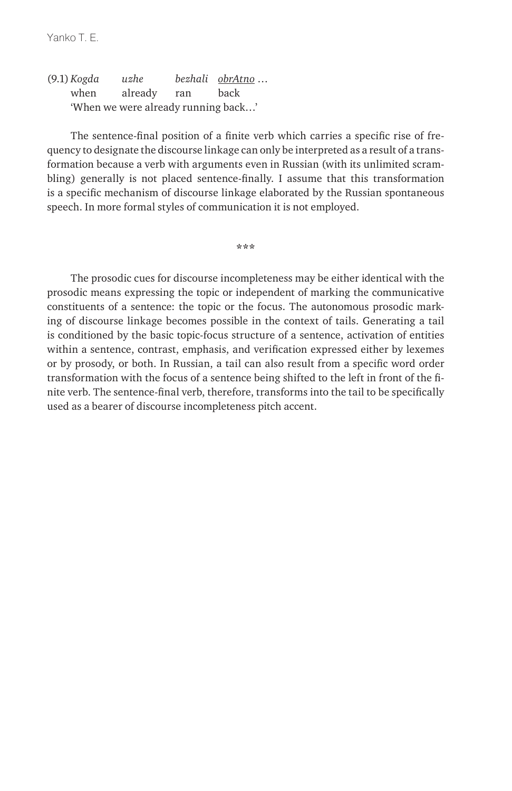Yanko T. F.

(9.1) *Kogda uzhe bezhali obrAtno* … when already ran back 'When we were already running back…'

The sentence-final position of a finite verb which carries a specific rise of frequency to designate the discourse linkage can only be interpreted as a result of a transformation because a verb with arguments even in Russian (with its unlimited scrambling) generally is not placed sentence-finally. I assume that this transformation is a specific mechanism of discourse linkage elaborated by the Russian spontaneous speech. In more formal styles of communication it is not employed.

**\*\*\***

The prosodic cues for discourse incompleteness may be either identical with the prosodic means expressing the topic or independent of marking the communicative constituents of a sentence: the topic or the focus. The autonomous prosodic marking of discourse linkage becomes possible in the context of tails. Generating a tail is conditioned by the basic topic-focus structure of a sentence, activation of entities within a sentence, contrast, emphasis, and verification expressed either by lexemes or by prosody, or both. In Russian, a tail can also result from a specific word order transformation with the focus of a sentence being shifted to the left in front of the finite verb. The sentence-final verb, therefore, transforms into the tail to be specifically used as a bearer of discourse incompleteness pitch accent.